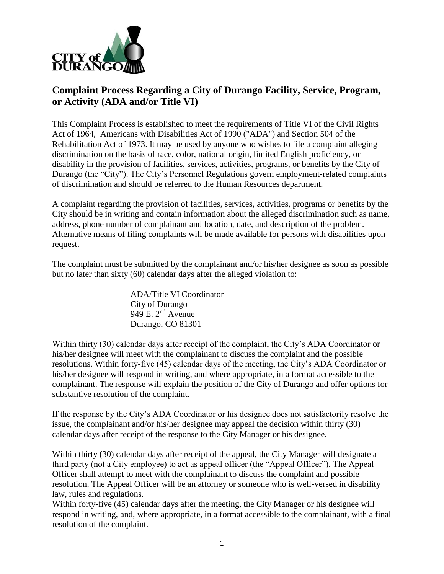

## **Complaint Process Regarding a City of Durango Facility, Service, Program, or Activity (ADA and/or Title VI)**

This Complaint Process is established to meet the requirements of Title VI of the Civil Rights Act of 1964, Americans with Disabilities Act of 1990 ("ADA") and Section 504 of the Rehabilitation Act of 1973. It may be used by anyone who wishes to file a complaint alleging discrimination on the basis of race, color, national origin, limited English proficiency, or disability in the provision of facilities, services, activities, programs, or benefits by the City of Durango (the "City"). The City's Personnel Regulations govern employment-related complaints of discrimination and should be referred to the Human Resources department.

A complaint regarding the provision of facilities, services, activities, programs or benefits by the City should be in writing and contain information about the alleged discrimination such as name, address, phone number of complainant and location, date, and description of the problem. Alternative means of filing complaints will be made available for persons with disabilities upon request.

The complaint must be submitted by the complainant and/or his/her designee as soon as possible but no later than sixty (60) calendar days after the alleged violation to:

> ADA/Title VI Coordinator City of Durango 949 E. 2nd Avenue Durango, CO 81301

Within thirty (30) calendar days after receipt of the complaint, the City's ADA Coordinator or his/her designee will meet with the complainant to discuss the complaint and the possible resolutions. Within forty-five (45) calendar days of the meeting, the City's ADA Coordinator or his/her designee will respond in writing, and where appropriate, in a format accessible to the complainant. The response will explain the position of the City of Durango and offer options for substantive resolution of the complaint.

If the response by the City's ADA Coordinator or his designee does not satisfactorily resolve the issue, the complainant and/or his/her designee may appeal the decision within thirty (30) calendar days after receipt of the response to the City Manager or his designee.

Within thirty (30) calendar days after receipt of the appeal, the City Manager will designate a third party (not a City employee) to act as appeal officer (the "Appeal Officer"). The Appeal Officer shall attempt to meet with the complainant to discuss the complaint and possible resolution. The Appeal Officer will be an attorney or someone who is well-versed in disability law, rules and regulations.

Within forty-five (45) calendar days after the meeting, the City Manager or his designee will respond in writing, and, where appropriate, in a format accessible to the complainant, with a final resolution of the complaint.